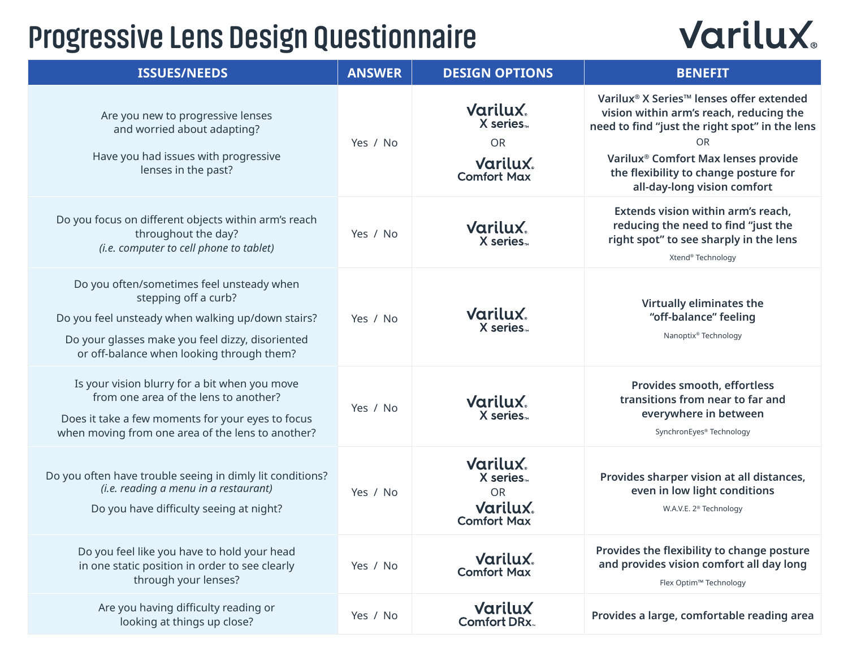# **Progressive Lens Design Questionnaire**

# **Varilux**

| <b>ISSUES/NEEDS</b>                                                                                                                                                                                                     | <b>ANSWER</b> | <b>DESIGN OPTIONS</b>                                                                          | <b>BENEFIT</b>                                                                                                                                                                                                                                                                                        |
|-------------------------------------------------------------------------------------------------------------------------------------------------------------------------------------------------------------------------|---------------|------------------------------------------------------------------------------------------------|-------------------------------------------------------------------------------------------------------------------------------------------------------------------------------------------------------------------------------------------------------------------------------------------------------|
| Are you new to progressive lenses<br>and worried about adapting?<br>Have you had issues with progressive<br>lenses in the past?                                                                                         | Yes / No      | <b>Varilux.</b><br>X series.<br><b>OR</b><br><b>Varilux.</b><br><b>Comfort Max</b>             | Varilux <sup>®</sup> X Series <sup>™</sup> lenses offer extended<br>vision within arm's reach, reducing the<br>need to find "just the right spot" in the lens<br><b>OR</b><br>Varilux <sup>®</sup> Comfort Max lenses provide<br>the flexibility to change posture for<br>all-day-long vision comfort |
| Do you focus on different objects within arm's reach<br>throughout the day?<br>(i.e. computer to cell phone to tablet)                                                                                                  | Yes / No      | <b>Varilux.</b><br>X series.                                                                   | Extends vision within arm's reach,<br>reducing the need to find "just the<br>right spot" to see sharply in the lens<br>Xtend® Technology                                                                                                                                                              |
| Do you often/sometimes feel unsteady when<br>stepping off a curb?<br>Do you feel unsteady when walking up/down stairs?<br>Do your glasses make you feel dizzy, disoriented<br>or off-balance when looking through them? | Yes / No      | <b>Varilux.</b><br>X series.                                                                   | Virtually eliminates the<br>"off-balance" feeling<br>Nanoptix® Technology                                                                                                                                                                                                                             |
| Is your vision blurry for a bit when you move<br>from one area of the lens to another?<br>Does it take a few moments for your eyes to focus<br>when moving from one area of the lens to another?                        | Yes / No      | <b>Varilux.</b><br>X series.                                                                   | Provides smooth, effortless<br>transitions from near to far and<br>everywhere in between<br>SynchronEyes® Technology                                                                                                                                                                                  |
| Do you often have trouble seeing in dimly lit conditions?<br>(i.e. reading a menu in a restaurant)<br>Do you have difficulty seeing at night?                                                                           | Yes / No      | <b>Varilux.</b><br>X series <sub>**</sub><br><b>OR</b><br><b>Varilux</b><br><b>Comfort Max</b> | Provides sharper vision at all distances,<br>even in low light conditions<br>W.A.V.E. 2 <sup>®</sup> Technology                                                                                                                                                                                       |
| Do you feel like you have to hold your head<br>in one static position in order to see clearly<br>through your lenses?                                                                                                   | Yes / No      | <b>Varilux.</b><br><b>Comfort Max</b>                                                          | Provides the flexibility to change posture<br>and provides vision comfort all day long<br>Flex Optim™ Technology                                                                                                                                                                                      |
| Are you having difficulty reading or<br>looking at things up close?                                                                                                                                                     | Yes / No      | Varilux<br><b>Comfort DRx.</b>                                                                 | Provides a large, comfortable reading area                                                                                                                                                                                                                                                            |